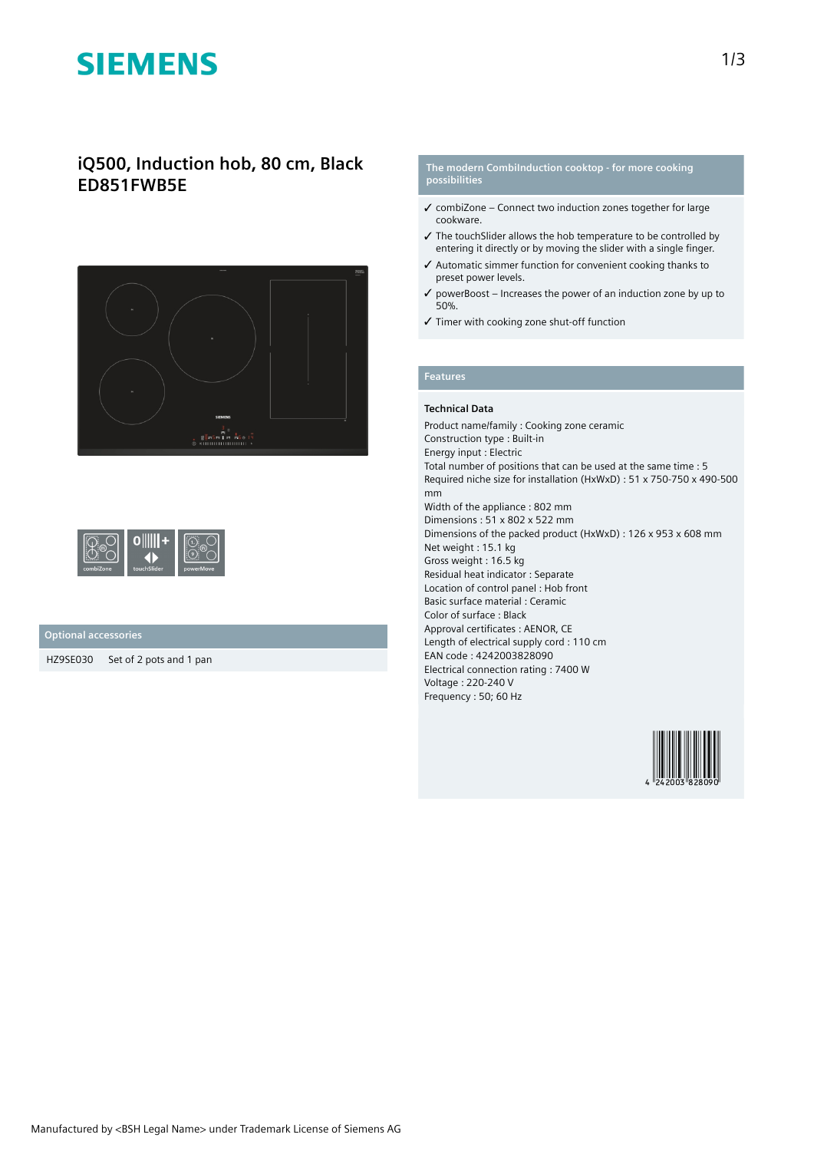# **SIEMENS**

# **iQ500, Induction hob, 80 cm, Black ED851FWB5E**



| .<br>combiZone | touchSlider | .<br>powerMove |
|----------------|-------------|----------------|
|----------------|-------------|----------------|

## **Optional accessories**

HZ9SE030 Set of 2 pots and 1 pan

#### **The modern CombiInduction cooktop - for more cooking possibilities**

- $\checkmark$  combiZone Connect two induction zones together for large cookware.
- ✓ The touchSlider allows the hob temperature to be controlled by entering it directly or by moving the slider with a single finger.
- ✓ Automatic simmer function for convenient cooking thanks to preset power levels.
- $\checkmark$  powerBoost Increases the power of an induction zone by up to 50%.
- ✓ Timer with cooking zone shut-off function

# **Features**

### **Technical Data**

Product name/family : Cooking zone ceramic Construction type : Built-in Energy input : Electric Total number of positions that can be used at the same time : 5 Required niche size for installation (HxWxD) : 51 x 750-750 x 490-500 mm Width of the appliance : 802 mm Dimensions : 51 x 802 x 522 mm Dimensions of the packed product (HxWxD) : 126 x 953 x 608 mm Net weight : 15.1 kg Gross weight : 16.5 kg Residual heat indicator : Separate Location of control panel : Hob front Basic surface material : Ceramic Color of surface : Black Approval certificates : AENOR, CE Length of electrical supply cord : 110 cm EAN code : 4242003828090 Electrical connection rating : 7400 W Voltage : 220-240 V Frequency : 50; 60 Hz

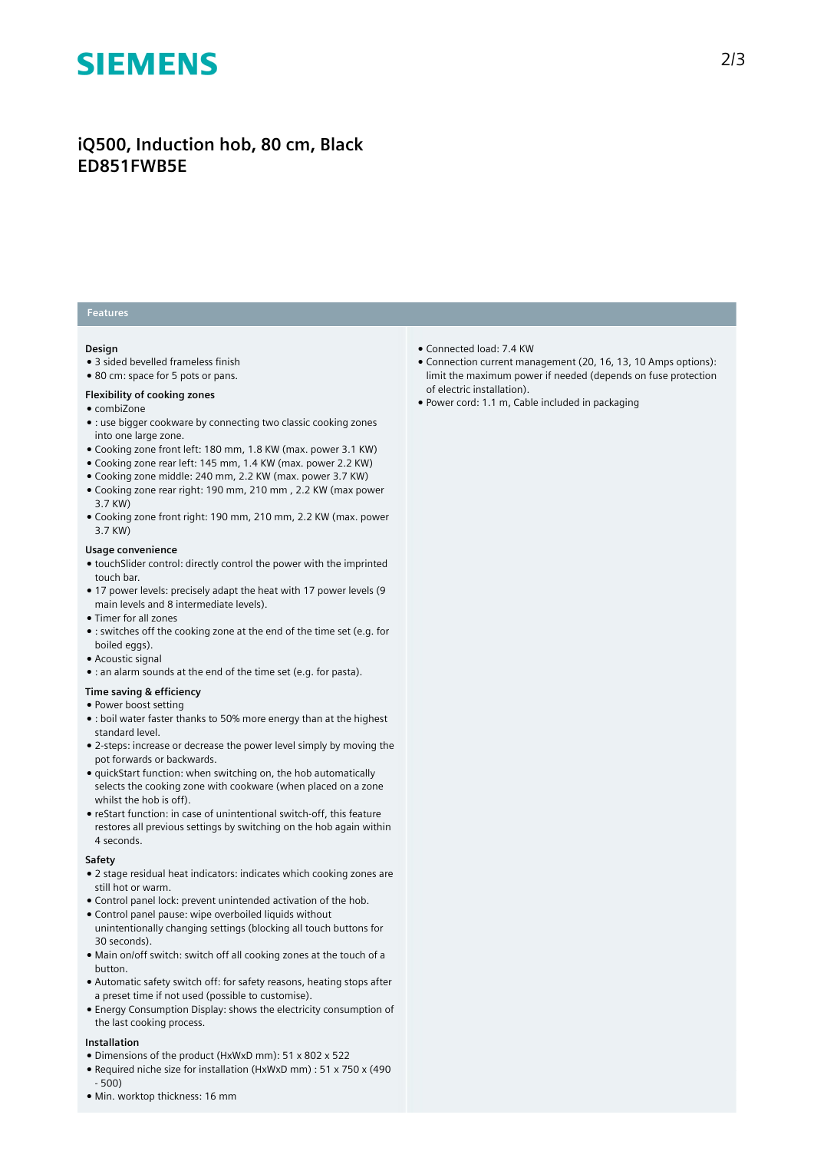# **SIEMENS**

# **iQ500, Induction hob, 80 cm, Black ED851FWB5E**

## **Features**

### **Design**

- 3 sided bevelled frameless finish
- 80 cm: space for 5 pots or pans.

### **Flexibility of cooking zones**

- combiZone
- : use bigger cookware by connecting two classic cooking zones into one large zone.
- Cooking zone front left: 180 mm, 1.8 KW (max. power 3.1 KW)
- Cooking zone rear left: 145 mm, 1.4 KW (max. power 2.2 KW)
- Cooking zone middle: 240 mm, 2.2 KW (max. power 3.7 KW)
- Cooking zone rear right: 190 mm, 210 mm , 2.2 KW (max power 3.7 KW)
- Cooking zone front right: 190 mm, 210 mm, 2.2 KW (max. power 3.7 KW)

#### **Usage convenience**

- touchSlider control: directly control the power with the imprinted touch bar.
- 17 power levels: precisely adapt the heat with 17 power levels (9 main levels and 8 intermediate levels).
- Timer for all zones
- : switches off the cooking zone at the end of the time set (e.g. for boiled eggs).
- Acoustic signal
- : an alarm sounds at the end of the time set (e.g. for pasta).

# **Time saving & efficiency**

- Power boost setting
- : boil water faster thanks to 50% more energy than at the highest standard level.
- 2-steps: increase or decrease the power level simply by moving the pot forwards or backwards.
- quickStart function: when switching on, the hob automatically selects the cooking zone with cookware (when placed on a zone whilst the hob is off).
- reStart function: in case of unintentional switch-off, this feature restores all previous settings by switching on the hob again within 4 seconds.

#### **Safety**

- 2 stage residual heat indicators: indicates which cooking zones are still hot or warm.
- Control panel lock: prevent unintended activation of the hob. ● Control panel pause: wipe overboiled liquids without
- unintentionally changing settings (blocking all touch buttons for 30 seconds).
- Main on/off switch: switch off all cooking zones at the touch of a button.
- Automatic safety switch off: for safety reasons, heating stops after a preset time if not used (possible to customise).
- Energy Consumption Display: shows the electricity consumption of the last cooking process.

### **Installation**

- Dimensions of the product (HxWxD mm): 51 x 802 x 522
- Required niche size for installation (HxWxD mm) : 51 x 750 x (490 - 500)
- Min. worktop thickness: 16 mm
- Connected load: 7.4 KW
- Connection current management (20, 16, 13, 10 Amps options): limit the maximum power if needed (depends on fuse protection of electric installation).
- Power cord: 1.1 m, Cable included in packaging